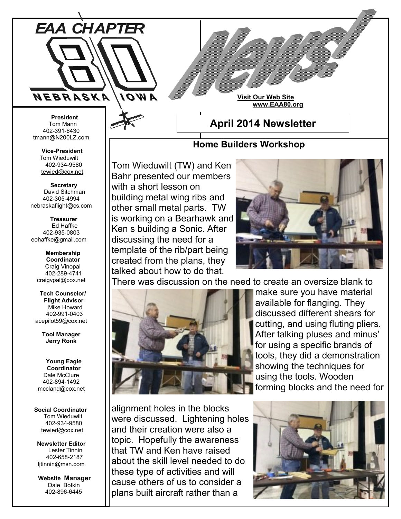

**Visit Our Web Site www.EAA80.org**

#### **President** Tom Mann 402-391-6430 tmann@N200LZ.com

**Vice-President** Tom Wieduwilt 402-934-9580 [tewied@cox.net](javascript:parent.wgMail.openComposeWindow()

 **Secretary** David Sitchman 402-305-4994 nebraskaflight@cs.com

 **Treasurer** Ed Haffke 402-935-0803 eohaffke@gmail.com

> **Membership Coordinator** Craig Vinopal 402-289-4741 craigvpal@cox.net

 **Tech Counselor/ Flight Advisor** Mike Howard 402-991-0403 acepilot59@cox.net

> **Tool Manager Jerry Ronk**

 **Young Eagle Coordinator** Dale McClure 402-894-1492 mccland@cox.net

### **Social Coordinator** Tom Wieduwilt 402-934-9580 [tewied@cox.net](javascript:parent.wgMail.openComposeWindow()

**Newsletter Editor** Lester Tinnin 402-658-2187 ljtinnin@msn.com

 **Website Manager** Dale Botkin 402-896-6445

## **April 2014 Newsletter**

### **Home Builders Workshop**

Tom Wieduwilt (TW) and Ken Bahr presented our members with a short lesson on building metal wing ribs and other small metal parts. TW is working on a Bearhawk and Ken s building a Sonic. After discussing the need for a template of the rib/part being created from the plans, they talked about how to do that.



There was discussion on the need to create an oversize blank to



make sure you have material available for flanging. They discussed different shears for cutting, and using fluting pliers. After talking pluses and minus' for using a specific brands of tools, they did a demonstration showing the techniques for using the tools. Wooden forming blocks and the need for

alignment holes in the blocks were discussed. Lightening holes and their creation were also a topic. Hopefully the awareness that TW and Ken have raised about the skill level needed to do these type of activities and will cause others of us to consider a plans built aircraft rather than a

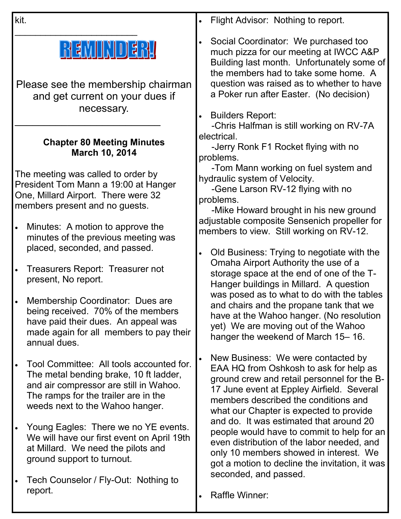kit.

# REMINDERI

\_\_\_\_\_\_\_\_\_\_\_\_\_\_\_\_\_\_\_\_\_\_\_\_

Please see the membership chairman and get current on your dues if necessary.

## **Chapter 80 Meeting Minutes March 10, 2014**

\_\_\_\_\_\_\_\_\_\_\_\_\_\_\_\_\_\_\_\_\_\_\_\_\_

The meeting was called to order by President Tom Mann a 19:00 at Hanger One, Millard Airport. There were 32 members present and no guests.

- Minutes: A motion to approve the minutes of the previous meeting was placed, seconded, and passed.
- Treasurers Report: Treasurer not present, No report.
- Membership Coordinator: Dues are being received. 70% of the members have paid their dues. An appeal was made again for all members to pay their annual dues.
- Tool Committee: All tools accounted for. The metal bending brake, 10 ft ladder, and air compressor are still in Wahoo. The ramps for the trailer are in the weeds next to the Wahoo hanger.
- Young Eagles: There we no YE events. We will have our first event on April 19th at Millard. We need the pilots and ground support to turnout.
- Tech Counselor / Fly-Out: Nothing to report.
- Flight Advisor: Nothing to report.
- Social Coordinator: We purchased too much pizza for our meeting at IWCC A&P Building last month. Unfortunately some of the members had to take some home. A question was raised as to whether to have a Poker run after Easter. (No decision)
- Builders Report:

 -Chris Halfman is still working on RV-7A electrical.

 -Jerry Ronk F1 Rocket flying with no problems.

 -Tom Mann working on fuel system and hydraulic system of Velocity.

 -Gene Larson RV-12 flying with no problems.

 -Mike Howard brought in his new ground adjustable composite Sensenich propeller for members to view. Still working on RV-12.

 Old Business: Trying to negotiate with the Omaha Airport Authority the use of a storage space at the end of one of the T-Hanger buildings in Millard. A question was posed as to what to do with the tables and chairs and the propane tank that we have at the Wahoo hanger. (No resolution yet) We are moving out of the Wahoo hanger the weekend of March 15– 16.

 New Business: We were contacted by EAA HQ from Oshkosh to ask for help as ground crew and retail personnel for the B-17 June event at Eppley Airfield. Several members described the conditions and what our Chapter is expected to provide and do. It was estimated that around 20 people would have to commit to help for an even distribution of the labor needed, and only 10 members showed in interest. We got a motion to decline the invitation, it was seconded, and passed.

Raffle Winner: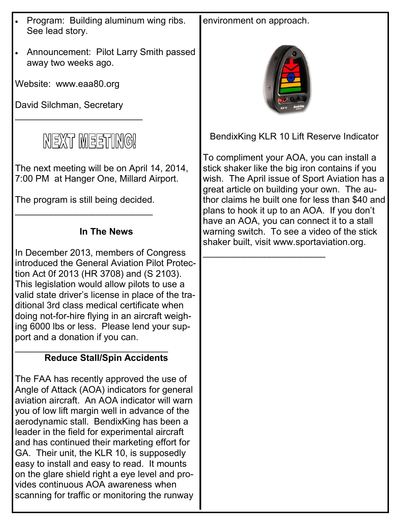- Program: Building aluminum wing ribs. See lead story.
- Announcement: Pilot Larry Smith passed away two weeks ago.

Website: www.eaa80.org

David Silchman, Secretary

\_\_\_\_\_\_\_\_\_\_\_\_\_\_\_\_\_\_\_\_\_\_\_\_\_



The next meeting will be on April 14, 2014, 7:00 PM at Hanger One, Millard Airport.

The program is still being decided. \_\_\_\_\_\_\_\_\_\_\_\_\_\_\_\_\_\_\_\_\_\_\_\_\_\_\_

### **In The News**

In December 2013, members of Congress introduced the General Aviation Pilot Protection Act 0f 2013 (HR 3708) and (S 2103). This legislation would allow pilots to use a valid state driver's license in place of the traditional 3rd class medical certificate when doing not-for-hire flying in an aircraft weighing 6000 lbs or less. Please lend your support and a donation if you can.

### \_\_\_\_\_\_\_\_\_\_\_\_\_\_\_\_\_\_\_\_\_\_\_\_\_\_\_\_\_\_ **Reduce Stall/Spin Accidents**

The FAA has recently approved the use of Angle of Attack (AOA) indicators for general aviation aircraft. An AOA indicator will warn you of low lift margin well in advance of the aerodynamic stall. BendixKing has been a leader in the field for experimental aircraft and has continued their marketing effort for GA. Their unit, the KLR 10, is supposedly easy to install and easy to read. It mounts on the glare shield right a eye level and provides continuous AOA awareness when scanning for traffic or monitoring the runway environment on approach.



BendixKing KLR 10 Lift Reserve Indicator

To compliment your AOA, you can install a stick shaker like the big iron contains if you wish. The April issue of Sport Aviation has a great article on building your own. The author claims he built one for less than \$40 and plans to hook it up to an AOA. If you don't have an AOA, you can connect it to a stall warning switch. To see a video of the stick shaker built, visit www.sportaviation.org.

\_\_\_\_\_\_\_\_\_\_\_\_\_\_\_\_\_\_\_\_\_\_\_\_